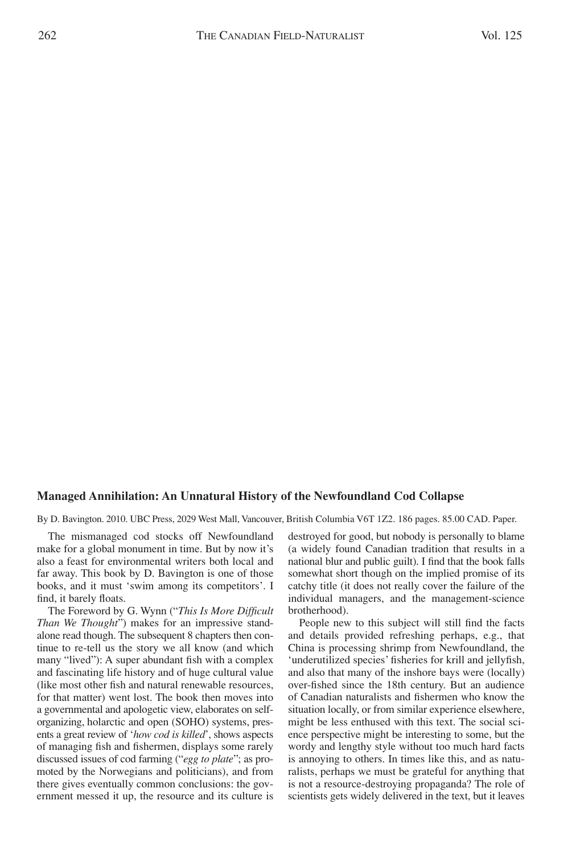## **Managed Annihilation: An Unnatural History of the Newfoundland Cod Collapse**

By D. Bavington. 2010. UBC Press, 2029 West Mall, Vancouver, British Columbia V6T 1Z2. 186 pages. 85.00 CAD. Paper.

The mismanaged cod stocks off Newfoundland make for a global monument in time. But by now it's also a feast for environmental writers both local and far away. This book by D. Bavington is one of those books, and it must 'swim among its competitors'. I find, it barely floats.

The Foreword by G. Wynn ("*This Is More Difficult Than We Thought*") makes for an impressive standalone read though. The subsequent 8 chapters then continue to re-tell us the story we all know (and which many "lived"): A super abundant fish with a complex and fascinating life history and of huge cultural value (like most other fish and natural renewable resources, for that matter) went lost. The book then moves into a governmental and apologetic view, elaborates on selforganizing, holarctic and open (SOHO) systems, presents a great review of '*how cod is killed*', shows aspects of managing fish and fishermen, displays some rarely discussed issues of cod farming ("*egg to plate*"; as promoted by the Norwegians and politicians), and from there gives eventually common conclusions: the government messed it up, the resource and its culture is destroyed for good, but nobody is personally to blame (a widely found Canadian tradition that results in a national blur and public guilt). I find that the book falls somewhat short though on the implied promise of its catchy title (it does not really cover the failure of the individual managers, and the management-science brotherhood).

People new to this subject will still find the facts and details provided refreshing perhaps, e.g., that China is processing shrimp from Newfoundland, the 'underutilized species' fisheries for krill and jellyfish, and also that many of the inshore bays were (locally) over-fished since the 18th century. But an audience of Canadian naturalists and fishermen who know the situation locally, or from similar experience elsewhere, might be less enthused with this text. The social science perspective might be interesting to some, but the wordy and lengthy style without too much hard facts is annoying to others. In times like this, and as naturalists, perhaps we must be grateful for anything that is not a resource-destroying propaganda? The role of scientists gets widely delivered in the text, but it leaves